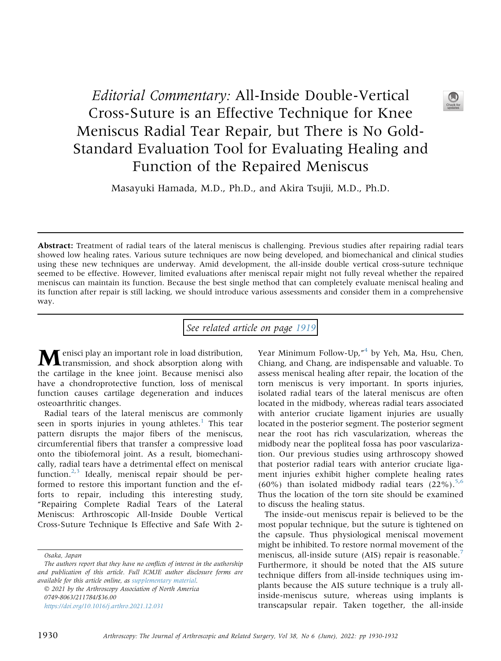Editorial Commentary: All-Inside Double-Vertical Cross-Suture is an Effective Technique for Knee Meniscus Radial Tear Repair, but There is No Gold-Standard Evaluation Tool for Evaluating Healing and Function of the Repaired Meniscus

Masayuki Hamada, M.D., Ph.D., and Akira Tsujii, M.D., Ph.D.

Abstract: Treatment of radial tears of the lateral meniscus is challenging. Previous studies after repairing radial tears showed low healing rates. Various suture techniques are now being developed, and biomechanical and clinical studies using these new techniques are underway. Amid development, the all-inside double vertical cross-suture technique seemed to be effective. However, limited evaluations after meniscal repair might not fully reveal whether the repaired meniscus can maintain its function. Because the best single method that can completely evaluate meniscal healing and its function after repair is still lacking, we should introduce various assessments and consider them in a comprehensive way.

See related article on page [1919](http://www.arthroscopyjournal.org/article/S0749-8063(21)01043-4/abstract)

Menisci play an important role in load distribution, transmission, and shock absorption along with the cartilage in the knee joint. Because menisci also have a chondroprotective function, loss of meniscal function causes cartilage degeneration and induces osteoarthritic changes.

Radial tears of the lateral meniscus are commonly seen in sports injuries in young athletes.<sup>[1](#page-1-0)</sup> This tear pattern disrupts the major fibers of the meniscus, circumferential fibers that transfer a compressive load onto the tibiofemoral joint. As a result, biomechanically, radial tears have a detrimental effect on meniscal function. $2,3$  $2,3$  Ideally, meniscal repair should be performed to restore this important function and the efforts to repair, including this interesting study, "Repairing Complete Radial Tears of the Lateral Meniscus: Arthroscopic All-Inside Double Vertical Cross-Suture Technique Is Effective and Safe With 2-

Osaka, Japan

 2021 by the Arthroscopy Association of North America 0749-8063/211784/\$36.00 <https://doi.org/10.1016/j.arthro.2021.12.031>

Year Minimum Follow-Up,"<sup>[4](#page-1-3)</sup> by Yeh, Ma, Hsu, Chen, Chiang, and Chang, are indispensable and valuable. To assess meniscal healing after repair, the location of the torn meniscus is very important. In sports injuries, isolated radial tears of the lateral meniscus are often located in the midbody, whereas radial tears associated with anterior cruciate ligament injuries are usually located in the posterior segment. The posterior segment near the root has rich vascularization, whereas the midbody near the popliteal fossa has poor vascularization. Our previous studies using arthroscopy showed that posterior radial tears with anterior cruciate ligament injuries exhibit higher complete healing rates (60%) than isolated midbody radial tears  $(22\%)$ .<sup>[5](#page-2-0)[,6](#page-2-1)</sup> Thus the location of the torn site should be examined to discuss the healing status.

The inside-out meniscus repair is believed to be the most popular technique, but the suture is tightened on the capsule. Thus physiological meniscal movement might be inhibited. To restore normal movement of the meniscus, all-inside suture (AIS) repair is reasonable.<sup>[7](#page-2-2)</sup> Furthermore, it should be noted that the AIS suture technique differs from all-inside techniques using implants because the AIS suture technique is a truly allinside-meniscus suture, whereas using implants is transcapsular repair. Taken together, the all-inside



The authors report that they have no conflicts of interest in the authorship and publication of this article. Full ICMJE author disclosure forms are available for this article online, as supplementary material.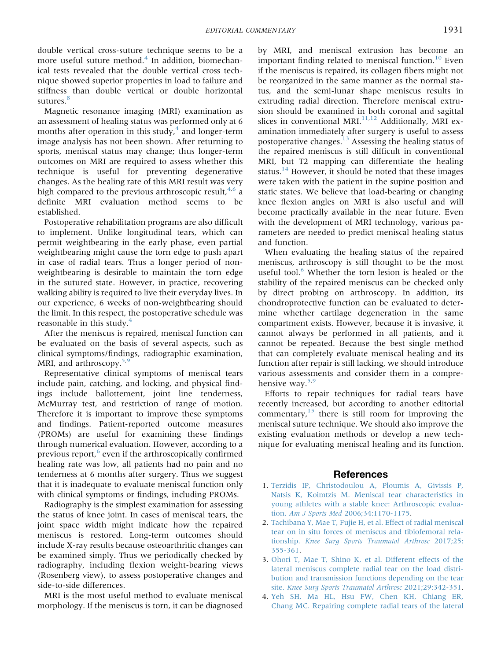double vertical cross-suture technique seems to be a more useful suture method.<sup>[4](#page-1-3)</sup> In addition, biomechanical tests revealed that the double vertical cross technique showed superior properties in load to failure and stiffness than double vertical or double horizontal sutures.<sup>[8](#page-2-3)</sup>

Magnetic resonance imaging (MRI) examination as an assessment of healing status was performed only at 6 months after operation in this study, $4$  and longer-term image analysis has not been shown. After returning to sports, meniscal status may change; thus longer-term outcomes on MRI are required to assess whether this technique is useful for preventing degenerative changes. As the healing rate of this MRI result was very high compared to the previous arthroscopic result,  $4.6$  $4.6$  a definite MRI evaluation method seems to be established.

Postoperative rehabilitation programs are also difficult to implement. Unlike longitudinal tears, which can permit weightbearing in the early phase, even partial weightbearing might cause the torn edge to push apart in case of radial tears. Thus a longer period of nonweightbearing is desirable to maintain the torn edge in the sutured state. However, in practice, recovering walking ability is required to live their everyday lives. In our experience, 6 weeks of non-weightbearing should the limit. In this respect, the postoperative schedule was reasonable in this study. $4$ 

After the meniscus is repaired, meniscal function can be evaluated on the basis of several aspects, such as clinical symptoms/findings, radiographic examination, MRI, and arthroscopy.<sup>[5](#page-2-0)[,9](#page-2-4)</sup>

Representative clinical symptoms of meniscal tears include pain, catching, and locking, and physical findings include ballottement, joint line tenderness, McMurray test, and restriction of range of motion. Therefore it is important to improve these symptoms and findings. Patient-reported outcome measures (PROMs) are useful for examining these findings through numerical evaluation. However, according to a previous report,<sup>[6](#page-2-1)</sup> even if the arthroscopically confirmed healing rate was low, all patients had no pain and no tenderness at 6 months after surgery. Thus we suggest that it is inadequate to evaluate meniscal function only with clinical symptoms or findings, including PROMs.

Radiography is the simplest examination for assessing the status of knee joint. In cases of meniscal tears, the joint space width might indicate how the repaired meniscus is restored. Long-term outcomes should include X-ray results because osteoarthritic changes can be examined simply. Thus we periodically checked by radiography, including flexion weight-bearing views (Rosenberg view), to assess postoperative changes and side-to-side differences.

MRI is the most useful method to evaluate meniscal morphology. If the meniscus is torn, it can be diagnosed by MRI, and meniscal extrusion has become an important finding related to meniscal function. $10$  Even if the meniscus is repaired, its collagen fibers might not be reorganized in the same manner as the normal status, and the semi-lunar shape meniscus results in extruding radial direction. Therefore meniscal extrusion should be examined in both coronal and sagittal slices in conventional MRI. $^{11,12}$  $^{11,12}$  $^{11,12}$  $^{11,12}$  Additionally, MRI examination immediately after surgery is useful to assess postoperative changes. $13$  Assessing the healing status of the repaired meniscus is still difficult in conventional MRI, but T2 mapping can differentiate the healing status.<sup>[14](#page-2-9)</sup> However, it should be noted that these images were taken with the patient in the supine position and static states. We believe that load-bearing or changing knee flexion angles on MRI is also useful and will become practically available in the near future. Even with the development of MRI technology, various parameters are needed to predict meniscal healing status and function.

When evaluating the healing status of the repaired meniscus, arthroscopy is still thought to be the most useful tool.<sup>[6](#page-2-1)</sup> Whether the torn lesion is healed or the stability of the repaired meniscus can be checked only by direct probing on arthroscopy. In addition, its chondroprotective function can be evaluated to determine whether cartilage degeneration in the same compartment exists. However, because it is invasive, it cannot always be performed in all patients, and it cannot be repeated. Because the best single method that can completely evaluate meniscal healing and its function after repair is still lacking, we should introduce various assessments and consider them in a compre-hensive way.<sup>[5](#page-2-0)[,9](#page-2-4)</sup>

Efforts to repair techniques for radial tears have recently increased, but according to another editorial commentary, $15$  there is still room for improving the meniscal suture technique. We should also improve the existing evaluation methods or develop a new technique for evaluating meniscal healing and its function.

## References

- <span id="page-1-0"></span>1. [Terzidis IP, Christodoulou A, Ploumis A, Givissis P,](http://refhub.elsevier.com/S0749-8063(21)01122-1/sref1) [Natsis K, Koimtzis M. Meniscal tear characteristics in](http://refhub.elsevier.com/S0749-8063(21)01122-1/sref1) [young athletes with a stable knee: Arthroscopic evalua](http://refhub.elsevier.com/S0749-8063(21)01122-1/sref1)tion. Am J Sports Med [2006;34:1170-1175.](http://refhub.elsevier.com/S0749-8063(21)01122-1/sref1)
- <span id="page-1-1"></span>2. [Tachibana Y, Mae T, Fujie H, et al. Effect of radial meniscal](http://refhub.elsevier.com/S0749-8063(21)01122-1/sref2) [tear on in situ forces of meniscus and tibiofemoral rela](http://refhub.elsevier.com/S0749-8063(21)01122-1/sref2)tionship. [Knee Surg Sports Traumatol Arthrosc](http://refhub.elsevier.com/S0749-8063(21)01122-1/sref2) 2017;25: [355-361.](http://refhub.elsevier.com/S0749-8063(21)01122-1/sref2)
- <span id="page-1-2"></span>3. [Ohori T, Mae T, Shino K, et al. Different effects of the](http://refhub.elsevier.com/S0749-8063(21)01122-1/sref3) [lateral meniscus complete radial tear on the load distri](http://refhub.elsevier.com/S0749-8063(21)01122-1/sref3)[bution and transmission functions depending on the tear](http://refhub.elsevier.com/S0749-8063(21)01122-1/sref3) site. [Knee Surg Sports Traumatol Arthrosc](http://refhub.elsevier.com/S0749-8063(21)01122-1/sref3) 2021;29:342-351.
- <span id="page-1-3"></span>4. [Yeh SH, Ma HL, Hsu FW, Chen KH, Chiang ER,](http://refhub.elsevier.com/S0749-8063(21)01122-1/sref4) [Chang MC. Repairing complete radial tears of the lateral](http://refhub.elsevier.com/S0749-8063(21)01122-1/sref4)